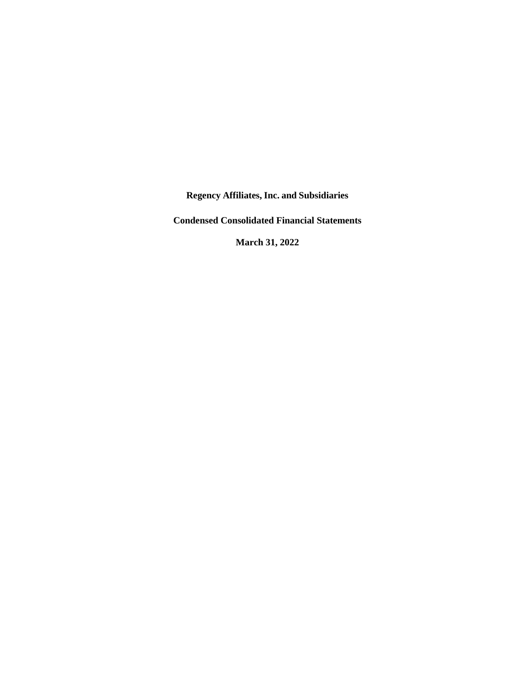**Regency Affiliates, Inc. and Subsidiaries**

**Condensed Consolidated Financial Statements**

**March 31, 2022**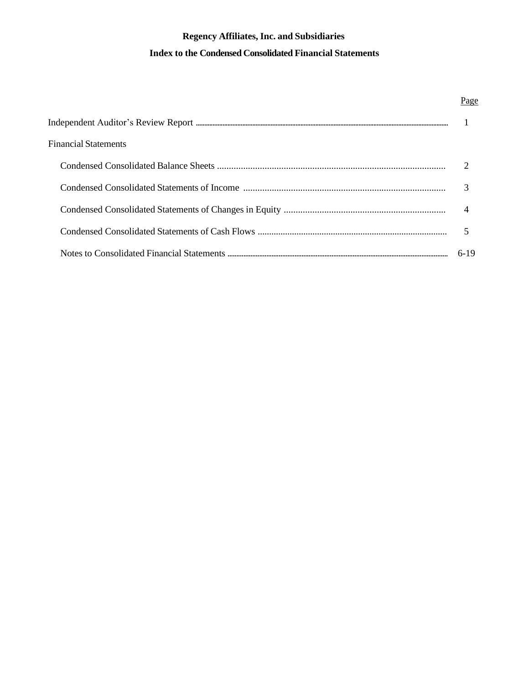| <b>Financial Statements</b> |        |
|-----------------------------|--------|
|                             |        |
|                             |        |
|                             | 4      |
|                             |        |
|                             | $6-19$ |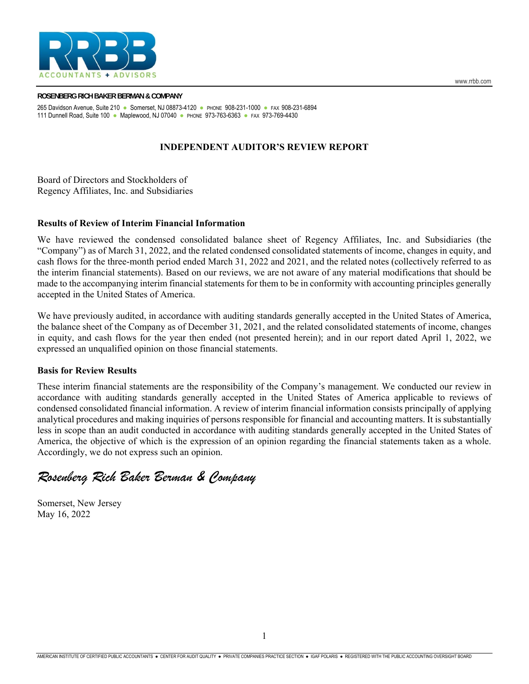

#### **ROSENBERG RICH BAKER BERMAN & COMPANY**  265 Davidson Avenue, Suite 210 ● Somerset, NJ 08873-4120 ● PHONE 908-231-1000 ● FAX 908-231-6894 111 Dunnell Road, Suite 100 ● Maplewood, NJ 07040 ● PHONE 973-763-6363 ● FAX 973-769-4430

# **INDEPENDENT AUDITOR'S REVIEW REPORT**

Board of Directors and Stockholders of Regency Affiliates, Inc. and Subsidiaries

# **Results of Review of Interim Financial Information**

We have reviewed the condensed consolidated balance sheet of Regency Affiliates, Inc. and Subsidiaries (the "Company") as of March 31, 2022, and the related condensed consolidated statements of income, changes in equity, and cash flows for the three-month period ended March 31, 2022 and 2021, and the related notes (collectively referred to as the interim financial statements). Based on our reviews, we are not aware of any material modifications that should be made to the accompanying interim financial statements for them to be in conformity with accounting principles generally accepted in the United States of America.

We have previously audited, in accordance with auditing standards generally accepted in the United States of America, the balance sheet of the Company as of December 31, 2021, and the related consolidated statements of income, changes in equity, and cash flows for the year then ended (not presented herein); and in our report dated April 1, 2022, we expressed an unqualified opinion on those financial statements.

# **Basis for Review Results**

These interim financial statements are the responsibility of the Company's management. We conducted our review in accordance with auditing standards generally accepted in the United States of America applicable to reviews of condensed consolidated financial information. A review of interim financial information consists principally of applying analytical procedures and making inquiries of persons responsible for financial and accounting matters. It is substantially less in scope than an audit conducted in accordance with auditing standards generally accepted in the United States of America, the objective of which is the expression of an opinion regarding the financial statements taken as a whole. Accordingly, we do not express such an opinion.

# *Rosenberg Rich Baker Berman & Company*

Somerset, New Jersey May 16, 2022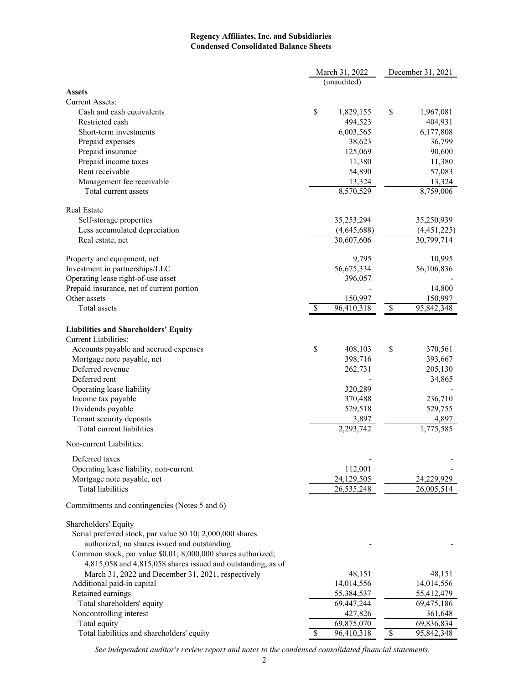# **Regency Affiliates, Inc. and Subsidiaries Condensed Consolidated Balance Sheets**

|                                                              |    | March 31, 2022 | December 31, 2021 |             |  |
|--------------------------------------------------------------|----|----------------|-------------------|-------------|--|
|                                                              |    | (unaudited)    |                   |             |  |
| <b>Assets</b>                                                |    |                |                   |             |  |
| <b>Current Assets:</b>                                       |    |                |                   |             |  |
| Cash and cash equivalents                                    | \$ | 1,829,155      | \$                | 1,967,081   |  |
| Restricted cash                                              |    | 494,523        |                   | 404,931     |  |
| Short-term investments                                       |    | 6,003,565      |                   | 6,177,808   |  |
| Prepaid expenses                                             |    | 38,623         |                   | 36,799      |  |
| Prepaid insurance                                            |    | 125,069        |                   | 90,600      |  |
| Prepaid income taxes                                         |    | 11,380         |                   | 11,380      |  |
| Rent receivable                                              |    | 54,890         |                   | 57,083      |  |
| Management fee receivable                                    |    | 13,324         |                   | 13,324      |  |
| Total current assets                                         |    | 8,570,529      |                   | 8,759,006   |  |
| <b>Real Estate</b>                                           |    |                |                   |             |  |
| Self-storage properties                                      |    | 35,253,294     |                   | 35,250,939  |  |
| Less accumulated depreciation                                |    | (4,645,688)    |                   | (4,451,225) |  |
| Real estate, net                                             |    | 30,607,606     |                   | 30,799,714  |  |
| Property and equipment, net                                  |    | 9,795          |                   | 10,995      |  |
| Investment in partnerships/LLC                               |    | 56,675,334     |                   | 56,106,836  |  |
| Operating lease right-of-use asset                           |    | 396,057        |                   |             |  |
| Prepaid insurance, net of current portion                    |    |                |                   | 14,800      |  |
| Other assets                                                 |    | 150,997        |                   | 150,997     |  |
| <b>Total</b> assets                                          | S  | 96,410,318     | \$                | 95,842,348  |  |
| <b>Liabilities and Shareholders' Equity</b>                  |    |                |                   |             |  |
| <b>Current Liabilities:</b>                                  |    |                |                   |             |  |
| Accounts payable and accrued expenses                        | \$ | 408,103        | \$                | 370,561     |  |
| Mortgage note payable, net                                   |    | 398,716        |                   | 393,667     |  |
| Deferred revenue                                             |    | 262,731        |                   | 205,130     |  |
| Deferred rent                                                |    |                |                   | 34,865      |  |
| Operating lease liability                                    |    | 320,289        |                   |             |  |
| Income tax payable                                           |    | 370,488        |                   | 236,710     |  |
| Dividends payable                                            |    | 529,518        |                   | 529,755     |  |
| Tenant security deposits                                     |    | 3,897          |                   | 4,897       |  |
| Total current liabilities                                    |    | 2,293,742      |                   | 1,775,585   |  |
| Non-current Liabilities:                                     |    |                |                   |             |  |
| Deferred taxes                                               |    |                |                   |             |  |
| Operating lease liability, non-current                       |    | 112,001        |                   |             |  |
| Mortgage note payable, net                                   |    | 24,129,505     |                   | 24,229,929  |  |
| Total liabilities                                            |    | 26,535,248     |                   | 26,005,514  |  |
| Commitments and contingencies (Notes 5 and 6)                |    |                |                   |             |  |
| Shareholders' Equity                                         |    |                |                   |             |  |
| Serial preferred stock, par value \$0.10; 2,000,000 shares   |    |                |                   |             |  |
| authorized; no shares issued and outstanding                 |    |                |                   |             |  |
| Common stock, par value \$0.01; 8,000,000 shares authorized; |    |                |                   |             |  |
| 4,815,058 and 4,815,058 shares issued and outstanding, as of |    |                |                   |             |  |
| March 31, 2022 and December 31, 2021, respectively           |    | 48,151         |                   | 48,151      |  |
| Additional paid-in capital                                   |    | 14,014,556     |                   | 14,014,556  |  |
| Retained earnings                                            |    | 55,384,537     |                   | 55,412,479  |  |
| Total shareholders' equity                                   |    | 69,447,244     |                   | 69,475,186  |  |
| Noncontrolling interest                                      |    | 427,826        |                   | 361,648     |  |
| Total equity                                                 |    | 69,875,070     |                   | 69,836,834  |  |
| Total liabilities and shareholders' equity                   | \$ | 96,410,318     | \$                | 95,842,348  |  |

*See independent auditor's review report and notes to the condensed consolidated financial statements.*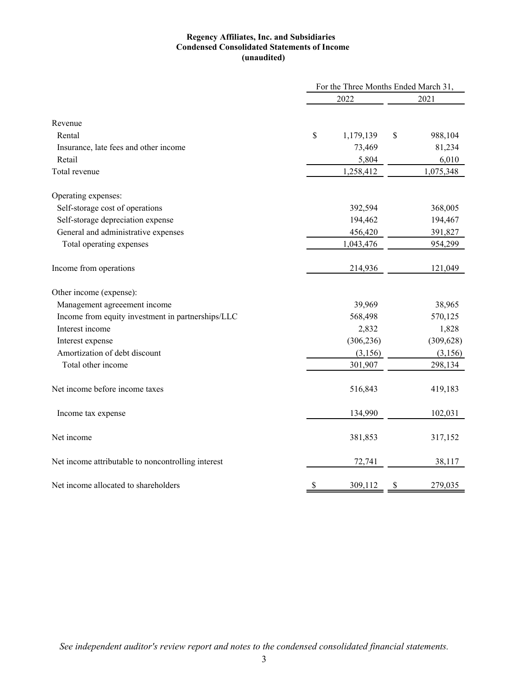# **Regency Affiliates, Inc. and Subsidiaries Condensed Consolidated Statements of Income (unaudited)**

|                                                    |    | For the Three Months Ended March 31, |      |            |  |
|----------------------------------------------------|----|--------------------------------------|------|------------|--|
|                                                    |    | 2022                                 | 2021 |            |  |
|                                                    |    |                                      |      |            |  |
| Revenue                                            |    |                                      |      |            |  |
| Rental                                             | \$ | 1,179,139                            | \$   | 988,104    |  |
| Insurance, late fees and other income              |    | 73,469                               |      | 81,234     |  |
| Retail                                             |    | 5,804                                |      | 6,010      |  |
| Total revenue                                      |    | 1,258,412                            |      | 1,075,348  |  |
| Operating expenses:                                |    |                                      |      |            |  |
| Self-storage cost of operations                    |    | 392,594                              |      | 368,005    |  |
| Self-storage depreciation expense                  |    | 194,462                              |      | 194,467    |  |
| General and administrative expenses                |    | 456,420                              |      | 391,827    |  |
| Total operating expenses                           |    | 1,043,476                            |      | 954,299    |  |
| Income from operations                             |    | 214,936                              |      | 121,049    |  |
| Other income (expense):                            |    |                                      |      |            |  |
| Management agreeement income                       |    | 39,969                               |      | 38,965     |  |
| Income from equity investment in partnerships/LLC  |    | 568,498                              |      | 570,125    |  |
| Interest income                                    |    | 2,832                                |      | 1,828      |  |
| Interest expense                                   |    | (306, 236)                           |      | (309, 628) |  |
| Amortization of debt discount                      |    | (3,156)                              |      | (3,156)    |  |
| Total other income                                 |    | 301,907                              |      | 298,134    |  |
| Net income before income taxes                     |    | 516,843                              |      | 419,183    |  |
| Income tax expense                                 |    | 134,990                              |      | 102,031    |  |
| Net income                                         |    | 381,853                              |      | 317,152    |  |
| Net income attributable to noncontrolling interest |    | 72,741                               |      | 38,117     |  |
| Net income allocated to shareholders               | \$ | 309,112                              | \$   | 279,035    |  |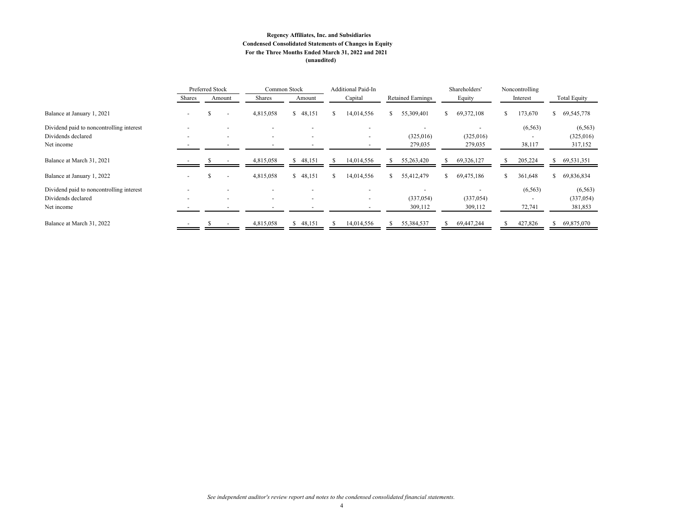#### **Regency Affiliates, Inc. and Subsidiaries Condensed Consolidated Statements of Changes in Equity For the Three Months Ended March 31, 2022 and 2021 (unaudited)**

|                                          |                          | Preferred Stock |                          | Common Stock             |                          |  | <b>Additional Paid-In</b> |                |                          |    |            | Shareholders'            | Noncontrolling      |  |
|------------------------------------------|--------------------------|-----------------|--------------------------|--------------------------|--------------------------|--|---------------------------|----------------|--------------------------|----|------------|--------------------------|---------------------|--|
|                                          | Shares                   |                 | Amount                   | Shares                   | Amount                   |  |                           | Capital        | <b>Retained Earnings</b> |    | Equity     | Interest                 | <b>Total Equity</b> |  |
| Balance at January 1, 2021               |                          |                 |                          | 4,815,058                | \$48,151                 |  | S.                        | 14,014,556     | 55,309,401               | S. | 69,372,108 | 173,670                  | 69,545,778          |  |
| Dividend paid to noncontrolling interest |                          |                 |                          |                          |                          |  |                           |                |                          |    |            | (6, 563)                 | (6, 563)            |  |
| Dividends declared                       | $\overline{\phantom{0}}$ |                 | $\overline{\phantom{0}}$ | $\sim$                   | $\overline{a}$           |  |                           | $\overline{a}$ | (325,016)                |    | (325,016)  |                          | (325,016)           |  |
| Net income                               |                          |                 |                          |                          | $\overline{\phantom{a}}$ |  |                           |                | 279,035                  |    | 279,035    | 38,117                   | 317,152             |  |
| Balance at March 31, 2021                |                          |                 |                          | 4,815,058                | \$48,151                 |  |                           | 14,014,556     | 55,263,420               |    | 69,326,127 | 205,224                  | 69,531,351          |  |
| Balance at January 1, 2022               |                          |                 |                          | 4,815,058                | \$48,151                 |  |                           | 14,014,556     | 55,412,479               | S. | 69,475,186 | 361,648                  | 69,836,834          |  |
| Dividend paid to noncontrolling interest |                          |                 |                          |                          |                          |  |                           |                |                          |    |            | (6, 563)                 | (6, 563)            |  |
| Dividends declared                       | $\overline{\phantom{0}}$ |                 | $\overline{\phantom{0}}$ | $\overline{\phantom{a}}$ | $\overline{\phantom{a}}$ |  |                           |                | (337, 054)               |    | (337, 054) | $\overline{\phantom{a}}$ | (337, 054)          |  |
| Net income                               |                          |                 |                          |                          | $\overline{\phantom{0}}$ |  |                           |                | 309,112                  |    | 309,112    | 72,741                   | 381,853             |  |
| Balance at March 31, 2022                |                          |                 |                          | 4,815,058                | 48,151                   |  |                           | 14,014,556     | 55,384,537               |    | 69,447,244 | 427,826                  | 69,875,070          |  |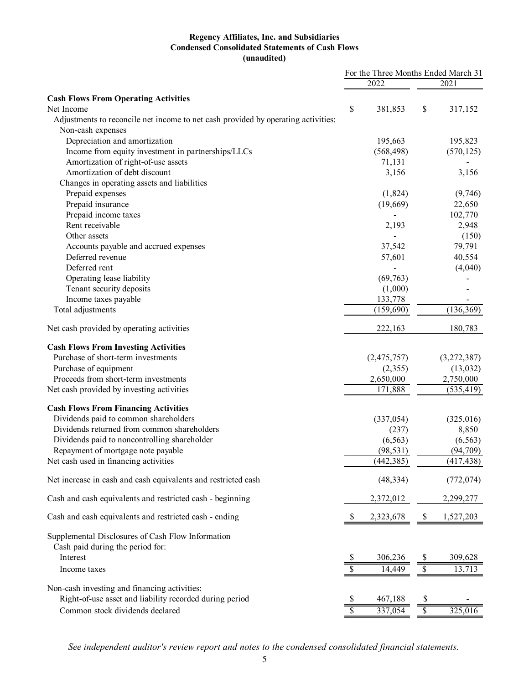# **Regency Affiliates, Inc. and Subsidiaries Condensed Consolidated Statements of Cash Flows (unaudited)**

|                                                                                   | For the Three Months Ended March 31 |             |                          |             |
|-----------------------------------------------------------------------------------|-------------------------------------|-------------|--------------------------|-------------|
|                                                                                   |                                     | 2022        |                          | 2021        |
| <b>Cash Flows From Operating Activities</b>                                       |                                     |             |                          |             |
| Net Income                                                                        | \$                                  | 381,853     | \$                       | 317,152     |
| Adjustments to reconcile net income to net cash provided by operating activities: |                                     |             |                          |             |
| Non-cash expenses                                                                 |                                     |             |                          |             |
| Depreciation and amortization                                                     |                                     | 195,663     |                          | 195,823     |
| Income from equity investment in partnerships/LLCs                                |                                     | (568, 498)  |                          | (570, 125)  |
| Amortization of right-of-use assets                                               |                                     | 71,131      |                          |             |
| Amortization of debt discount                                                     |                                     | 3,156       |                          | 3,156       |
| Changes in operating assets and liabilities                                       |                                     |             |                          |             |
| Prepaid expenses                                                                  |                                     | (1,824)     |                          | (9,746)     |
| Prepaid insurance                                                                 |                                     | (19,669)    |                          | 22,650      |
| Prepaid income taxes                                                              |                                     |             |                          | 102,770     |
| Rent receivable                                                                   |                                     | 2,193       |                          | 2,948       |
| Other assets                                                                      |                                     |             |                          | (150)       |
| Accounts payable and accrued expenses                                             |                                     | 37,542      |                          | 79,791      |
| Deferred revenue                                                                  |                                     | 57,601      |                          | 40,554      |
| Deferred rent                                                                     |                                     |             |                          | (4,040)     |
| Operating lease liability                                                         |                                     | (69,763)    |                          |             |
| Tenant security deposits                                                          |                                     | (1,000)     |                          |             |
| Income taxes payable                                                              |                                     | 133,778     |                          |             |
| Total adjustments                                                                 |                                     | (159, 690)  |                          | (136, 369)  |
| Net cash provided by operating activities                                         |                                     | 222,163     |                          | 180,783     |
|                                                                                   |                                     |             |                          |             |
| <b>Cash Flows From Investing Activities</b>                                       |                                     |             |                          |             |
| Purchase of short-term investments                                                |                                     | (2,475,757) |                          | (3,272,387) |
| Purchase of equipment                                                             |                                     | (2,355)     |                          | (13,032)    |
| Proceeds from short-term investments                                              |                                     | 2,650,000   |                          | 2,750,000   |
| Net cash provided by investing activities                                         |                                     | 171,888     |                          | (535, 419)  |
| <b>Cash Flows From Financing Activities</b>                                       |                                     |             |                          |             |
| Dividends paid to common shareholders                                             |                                     | (337, 054)  |                          | (325,016)   |
| Dividends returned from common shareholders                                       |                                     | (237)       |                          | 8,850       |
| Dividends paid to noncontrolling shareholder                                      |                                     | (6, 563)    |                          | (6, 563)    |
| Repayment of mortgage note payable                                                |                                     | (98, 531)   |                          | (94, 709)   |
| Net cash used in financing activities                                             |                                     | (442, 385)  |                          | (417, 438)  |
|                                                                                   |                                     |             |                          |             |
| Net increase in cash and cash equivalents and restricted cash                     |                                     | (48, 334)   |                          | (772, 074)  |
| Cash and cash equivalents and restricted cash - beginning                         |                                     | 2,372,012   |                          | 2,299,277   |
| Cash and cash equivalents and restricted cash - ending                            | \$                                  | 2,323,678   | S.                       | 1,527,203   |
| Supplemental Disclosures of Cash Flow Information                                 |                                     |             |                          |             |
| Cash paid during the period for:                                                  |                                     |             |                          |             |
| Interest                                                                          |                                     | 306,236     |                          | 309,628     |
|                                                                                   | \$                                  |             | S                        |             |
| Income taxes                                                                      | \$                                  | 14,449      | \$                       | 13,713      |
| Non-cash investing and financing activities:                                      |                                     |             |                          |             |
| Right-of-use asset and liability recorded during period                           |                                     | 467,188     | S                        |             |
| Common stock dividends declared                                                   |                                     | 337,054     | $\overline{\mathcal{S}}$ | 325,016     |
|                                                                                   |                                     |             |                          |             |

*See independent auditor's review report and notes to the condensed consolidated financial statements.*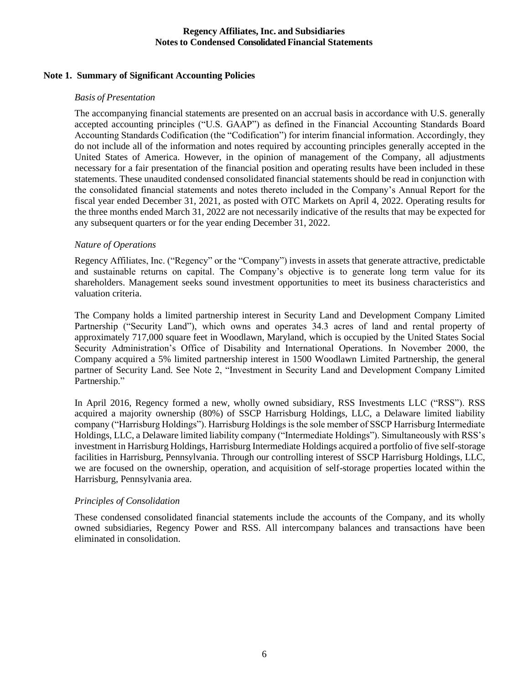# **Note 1. Summary of Significant Accounting Policies**

### *Basis of Presentation*

The accompanying financial statements are presented on an accrual basis in accordance with U.S. generally accepted accounting principles ("U.S. GAAP") as defined in the Financial Accounting Standards Board Accounting Standards Codification (the "Codification") for interim financial information. Accordingly, they do not include all of the information and notes required by accounting principles generally accepted in the United States of America. However, in the opinion of management of the Company, all adjustments necessary for a fair presentation of the financial position and operating results have been included in these statements. These unaudited condensed consolidated financial statements should be read in conjunction with the consolidated financial statements and notes thereto included in the Company's Annual Report for the fiscal year ended December 31, 2021, as posted with OTC Markets on April 4, 2022. Operating results for the three months ended March 31, 2022 are not necessarily indicative of the results that may be expected for any subsequent quarters or for the year ending December 31, 2022.

# *Nature of Operations*

Regency Affiliates, Inc. ("Regency" or the "Company") invests in assets that generate attractive, predictable and sustainable returns on capital. The Company's objective is to generate long term value for its shareholders. Management seeks sound investment opportunities to meet its business characteristics and valuation criteria.

The Company holds a limited partnership interest in Security Land and Development Company Limited Partnership ("Security Land"), which owns and operates 34.3 acres of land and rental property of approximately 717,000 square feet in Woodlawn, Maryland, which is occupied by the United States Social Security Administration's Office of Disability and International Operations. In November 2000, the Company acquired a 5% limited partnership interest in 1500 Woodlawn Limited Partnership, the general partner of Security Land. See Note 2, "Investment in Security Land and Development Company Limited Partnership."

In April 2016, Regency formed a new, wholly owned subsidiary, RSS Investments LLC ("RSS"). RSS acquired a majority ownership (80%) of SSCP Harrisburg Holdings, LLC, a Delaware limited liability company ("Harrisburg Holdings"). Harrisburg Holdings is the sole member of SSCP Harrisburg Intermediate Holdings, LLC, a Delaware limited liability company ("Intermediate Holdings"). Simultaneously with RSS's investment in Harrisburg Holdings, Harrisburg Intermediate Holdings acquired a portfolio of five self-storage facilities in Harrisburg, Pennsylvania. Through our controlling interest of SSCP Harrisburg Holdings, LLC, we are focused on the ownership, operation, and acquisition of self-storage properties located within the Harrisburg, Pennsylvania area.

### *Principles of Consolidation*

These condensed consolidated financial statements include the accounts of the Company, and its wholly owned subsidiaries, Regency Power and RSS. All intercompany balances and transactions have been eliminated in consolidation.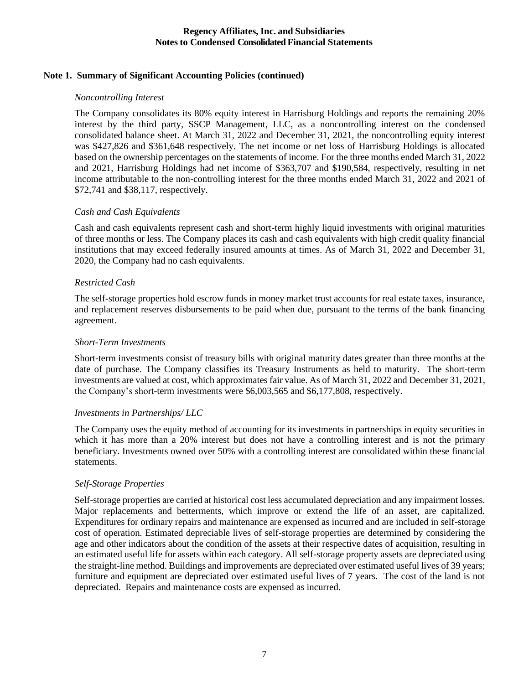# **Note 1. Summary of Significant Accounting Policies (continued)**

### *Noncontrolling Interest*

The Company consolidates its 80% equity interest in Harrisburg Holdings and reports the remaining 20% interest by the third party, SSCP Management, LLC, as a noncontrolling interest on the condensed consolidated balance sheet. At March 31, 2022 and December 31, 2021, the noncontrolling equity interest was \$427,826 and \$361,648 respectively. The net income or net loss of Harrisburg Holdings is allocated based on the ownership percentages on the statements of income. For the three months ended March 31, 2022 and 2021, Harrisburg Holdings had net income of \$363,707 and \$190,584, respectively, resulting in net income attributable to the non-controlling interest for the three months ended March 31, 2022 and 2021 of \$72,741 and \$38,117, respectively.

# *Cash and Cash Equivalents*

Cash and cash equivalents represent cash and short-term highly liquid investments with original maturities of three months or less. The Company places its cash and cash equivalents with high credit quality financial institutions that may exceed federally insured amounts at times. As of March 31, 2022 and December 31, 2020, the Company had no cash equivalents.

# *Restricted Cash*

The self-storage properties hold escrow funds in money market trust accounts for real estate taxes, insurance, and replacement reserves disbursements to be paid when due, pursuant to the terms of the bank financing agreement.

# *Short-Term Investments*

Short-term investments consist of treasury bills with original maturity dates greater than three months at the date of purchase. The Company classifies its Treasury Instruments as held to maturity. The short-term investments are valued at cost, which approximates fair value. As of March 31, 2022 and December 31, 2021, the Company's short-term investments were \$6,003,565 and \$6,177,808, respectively.

# *Investments in Partnerships/ LLC*

The Company uses the equity method of accounting for its investments in partnerships in equity securities in which it has more than a 20% interest but does not have a controlling interest and is not the primary beneficiary. Investments owned over 50% with a controlling interest are consolidated within these financial statements.

# *Self-Storage Properties*

Self-storage properties are carried at historical cost less accumulated depreciation and any impairment losses. Major replacements and betterments, which improve or extend the life of an asset, are capitalized. Expenditures for ordinary repairs and maintenance are expensed as incurred and are included in self-storage cost of operation. Estimated depreciable lives of self-storage properties are determined by considering the age and other indicators about the condition of the assets at their respective dates of acquisition, resulting in an estimated useful life for assets within each category. All self-storage property assets are depreciated using the straight-line method. Buildings and improvements are depreciated over estimated useful lives of 39 years; furniture and equipment are depreciated over estimated useful lives of 7 years. The cost of the land is not depreciated. Repairs and maintenance costs are expensed as incurred.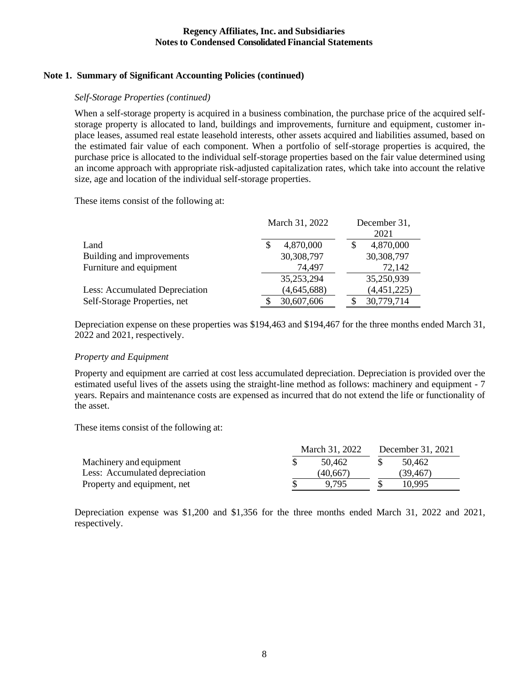# **Note 1. Summary of Significant Accounting Policies (continued)**

### *Self-Storage Properties (continued)*

When a self-storage property is acquired in a business combination, the purchase price of the acquired selfstorage property is allocated to land, buildings and improvements, furniture and equipment, customer inplace leases, assumed real estate leasehold interests, other assets acquired and liabilities assumed, based on the estimated fair value of each component. When a portfolio of self-storage properties is acquired, the purchase price is allocated to the individual self-storage properties based on the fair value determined using an income approach with appropriate risk-adjusted capitalization rates, which take into account the relative size, age and location of the individual self-storage properties.

These items consist of the following at:

|                                | March 31, 2022 |             |  | December 31, |
|--------------------------------|----------------|-------------|--|--------------|
|                                |                |             |  | 2021         |
| Land                           |                | 4,870,000   |  | 4,870,000    |
| Building and improvements      |                | 30,308,797  |  | 30,308,797   |
| Furniture and equipment        |                | 74,497      |  | 72,142       |
|                                |                | 35,253,294  |  | 35,250,939   |
| Less: Accumulated Depreciation |                | (4,645,688) |  | (4,451,225)  |
| Self-Storage Properties, net   |                | 30,607,606  |  | 30,779,714   |

Depreciation expense on these properties was \$194,463 and \$194,467 for the three months ended March 31, 2022 and 2021, respectively.

### *Property and Equipment*

Property and equipment are carried at cost less accumulated depreciation. Depreciation is provided over the estimated useful lives of the assets using the straight-line method as follows: machinery and equipment - 7 years. Repairs and maintenance costs are expensed as incurred that do not extend the life or functionality of the asset.

These items consist of the following at:

|                                | March 31, 2022 |           |  | December 31, 2021 |
|--------------------------------|----------------|-----------|--|-------------------|
| Machinery and equipment        |                | 50.462    |  | 50.462            |
| Less: Accumulated depreciation |                | (40, 667) |  | (39.467)          |
| Property and equipment, net    |                | 9.795     |  | 10.995            |

Depreciation expense was \$1,200 and \$1,356 for the three months ended March 31, 2022 and 2021, respectively.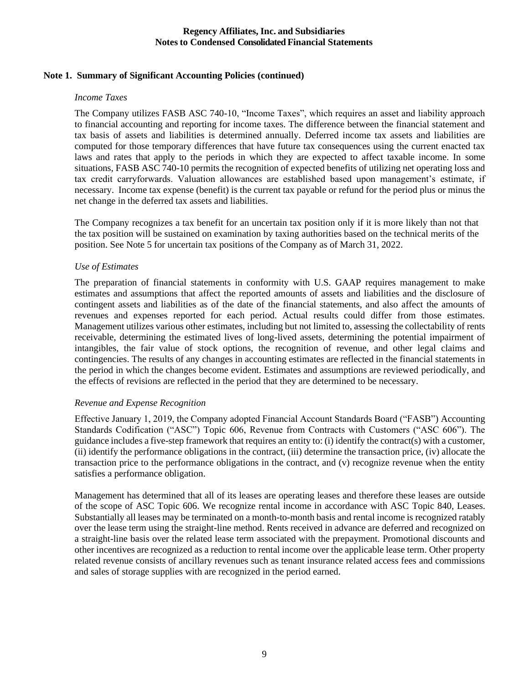# **Note 1. Summary of Significant Accounting Policies (continued)**

### *Income Taxes*

The Company utilizes FASB ASC 740-10, "Income Taxes", which requires an asset and liability approach to financial accounting and reporting for income taxes. The difference between the financial statement and tax basis of assets and liabilities is determined annually. Deferred income tax assets and liabilities are computed for those temporary differences that have future tax consequences using the current enacted tax laws and rates that apply to the periods in which they are expected to affect taxable income. In some situations, FASB ASC 740-10 permits the recognition of expected benefits of utilizing net operating loss and tax credit carryforwards. Valuation allowances are established based upon management's estimate, if necessary. Income tax expense (benefit) is the current tax payable or refund for the period plus or minus the net change in the deferred tax assets and liabilities.

The Company recognizes a tax benefit for an uncertain tax position only if it is more likely than not that the tax position will be sustained on examination by taxing authorities based on the technical merits of the position. See Note 5 for uncertain tax positions of the Company as of March 31, 2022.

# *Use of Estimates*

The preparation of financial statements in conformity with U.S. GAAP requires management to make estimates and assumptions that affect the reported amounts of assets and liabilities and the disclosure of contingent assets and liabilities as of the date of the financial statements, and also affect the amounts of revenues and expenses reported for each period. Actual results could differ from those estimates. Management utilizes various other estimates, including but not limited to, assessing the collectability of rents receivable, determining the estimated lives of long-lived assets, determining the potential impairment of intangibles, the fair value of stock options, the recognition of revenue, and other legal claims and contingencies. The results of any changes in accounting estimates are reflected in the financial statements in the period in which the changes become evident. Estimates and assumptions are reviewed periodically, and the effects of revisions are reflected in the period that they are determined to be necessary.

### *Revenue and Expense Recognition*

Effective January 1, 2019, the Company adopted Financial Account Standards Board ("FASB") Accounting Standards Codification ("ASC") Topic 606, Revenue from Contracts with Customers ("ASC 606"). The guidance includes a five-step framework that requires an entity to: (i) identify the contract(s) with a customer, (ii) identify the performance obligations in the contract, (iii) determine the transaction price, (iv) allocate the transaction price to the performance obligations in the contract, and (v) recognize revenue when the entity satisfies a performance obligation.

Management has determined that all of its leases are operating leases and therefore these leases are outside of the scope of ASC Topic 606. We recognize rental income in accordance with ASC Topic 840, Leases. Substantially all leases may be terminated on a month-to-month basis and rental income is recognized ratably over the lease term using the straight-line method. Rents received in advance are deferred and recognized on a straight-line basis over the related lease term associated with the prepayment. Promotional discounts and other incentives are recognized as a reduction to rental income over the applicable lease term. Other property related revenue consists of ancillary revenues such as tenant insurance related access fees and commissions and sales of storage supplies with are recognized in the period earned.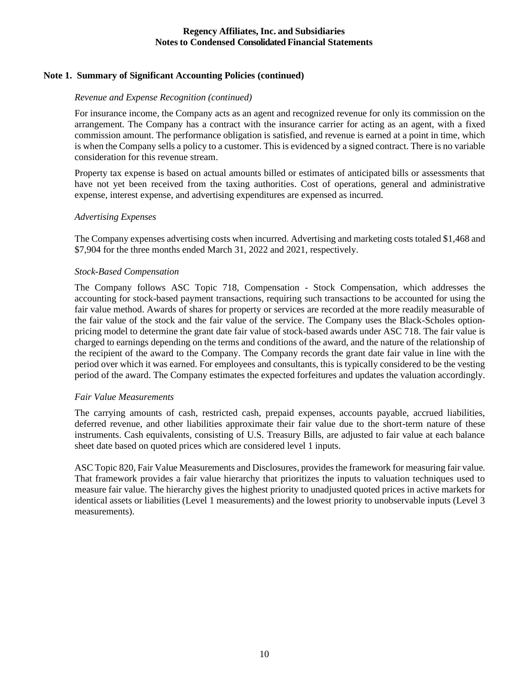# **Note 1. Summary of Significant Accounting Policies (continued)**

### *Revenue and Expense Recognition (continued)*

For insurance income, the Company acts as an agent and recognized revenue for only its commission on the arrangement. The Company has a contract with the insurance carrier for acting as an agent, with a fixed commission amount. The performance obligation is satisfied, and revenue is earned at a point in time, which is when the Company sells a policy to a customer. This is evidenced by a signed contract. There is no variable consideration for this revenue stream.

Property tax expense is based on actual amounts billed or estimates of anticipated bills or assessments that have not yet been received from the taxing authorities. Cost of operations, general and administrative expense, interest expense, and advertising expenditures are expensed as incurred.

### *Advertising Expenses*

The Company expenses advertising costs when incurred. Advertising and marketing costs totaled \$1,468 and \$7,904 for the three months ended March 31, 2022 and 2021, respectively.

### *Stock-Based Compensation*

The Company follows ASC Topic 718, Compensation - Stock Compensation, which addresses the accounting for stock-based payment transactions, requiring such transactions to be accounted for using the fair value method. Awards of shares for property or services are recorded at the more readily measurable of the fair value of the stock and the fair value of the service. The Company uses the Black-Scholes optionpricing model to determine the grant date fair value of stock-based awards under ASC 718. The fair value is charged to earnings depending on the terms and conditions of the award, and the nature of the relationship of the recipient of the award to the Company. The Company records the grant date fair value in line with the period over which it was earned. For employees and consultants, this is typically considered to be the vesting period of the award. The Company estimates the expected forfeitures and updates the valuation accordingly.

### *Fair Value Measurements*

The carrying amounts of cash, restricted cash, prepaid expenses, accounts payable, accrued liabilities, deferred revenue, and other liabilities approximate their fair value due to the short-term nature of these instruments. Cash equivalents, consisting of U.S. Treasury Bills, are adjusted to fair value at each balance sheet date based on quoted prices which are considered level 1 inputs.

ASC Topic 820, Fair Value Measurements and Disclosures, provides the framework for measuring fair value. That framework provides a fair value hierarchy that prioritizes the inputs to valuation techniques used to measure fair value. The hierarchy gives the highest priority to unadjusted quoted prices in active markets for identical assets or liabilities (Level 1 measurements) and the lowest priority to unobservable inputs (Level 3 measurements).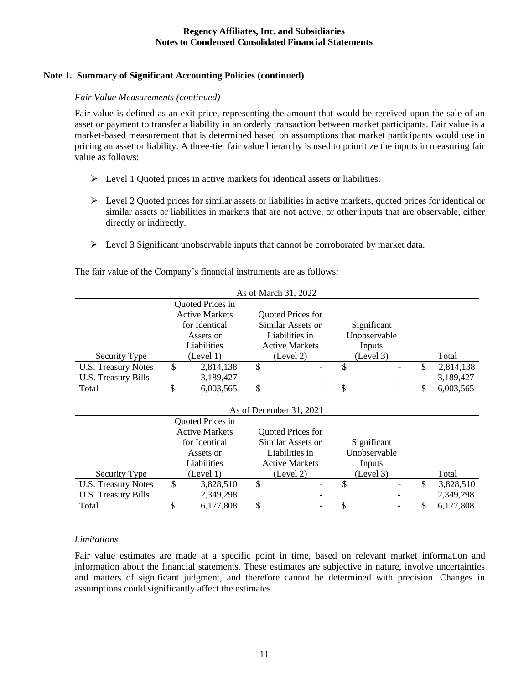# **Note 1. Summary of Significant Accounting Policies (continued)**

### *Fair Value Measurements (continued)*

Fair value is defined as an exit price, representing the amount that would be received upon the sale of an asset or payment to transfer a liability in an orderly transaction between market participants. Fair value is a market-based measurement that is determined based on assumptions that market participants would use in pricing an asset or liability. A three-tier fair value hierarchy is used to prioritize the inputs in measuring fair value as follows:

- ➢ Level 1 Quoted prices in active markets for identical assets or liabilities.
- $\triangleright$  Level 2 Quoted prices for similar assets or liabilities in active markets, quoted prices for identical or similar assets or liabilities in markets that are not active, or other inputs that are observable, either directly or indirectly.
- $\triangleright$  Level 3 Significant unobservable inputs that cannot be corroborated by market data.

|                            |                       | As of March 31, 2022    |              |    |           |
|----------------------------|-----------------------|-------------------------|--------------|----|-----------|
|                            | Quoted Prices in      |                         |              |    |           |
|                            | <b>Active Markets</b> | Quoted Prices for       |              |    |           |
|                            | for Identical         | Similar Assets or       | Significant  |    |           |
|                            | Assets or             | Liabilities in          | Unobservable |    |           |
|                            | Liabilities           | <b>Active Markets</b>   | Inputs       |    |           |
| Security Type              | (Level 1)             | (Level 2)               | (Level 3)    |    | Total     |
| <b>U.S. Treasury Notes</b> | \$<br>2,814,138       | \$                      | \$           | \$ | 2,814,138 |
| <b>U.S. Treasury Bills</b> | 3,189,427             |                         |              |    | 3,189,427 |
| Total                      | \$<br>6,003,565       | \$                      |              |    | 6,003,565 |
|                            |                       |                         |              |    |           |
|                            |                       | As of December 31, 2021 |              |    |           |
|                            | Quoted Prices in      |                         |              |    |           |
|                            | <b>Active Markets</b> | Quoted Prices for       |              |    |           |
|                            | for Identical         | Similar Assets or       | Significant  |    |           |
|                            | Assets or             | Liabilities in          | Unobservable |    |           |
|                            | Liabilities           | <b>Active Markets</b>   | Inputs       |    |           |
| Security Type              | (Level 1)             | (Level 2)               | (Level 3)    |    | Total     |
| <b>U.S. Treasury Notes</b> | \$<br>3,828,510       | \$                      | \$           | \$ | 3,828,510 |
| U.S. Treasury Bills        | 2,349,298             |                         |              |    | 2,349,298 |
| Total                      | \$<br>6,177,808       | \$                      |              | S  | 6,177,808 |

The fair value of the Company's financial instruments are as follows:

### *Limitations*

Fair value estimates are made at a specific point in time, based on relevant market information and information about the financial statements. These estimates are subjective in nature, involve uncertainties and matters of significant judgment, and therefore cannot be determined with precision. Changes in assumptions could significantly affect the estimates.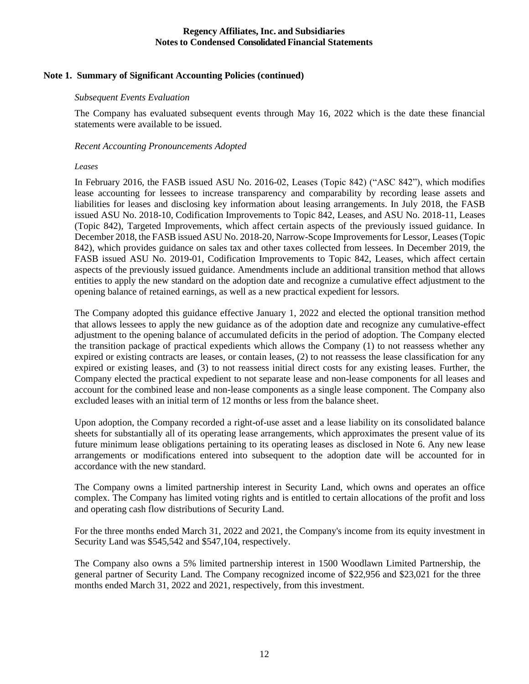# **Note 1. Summary of Significant Accounting Policies (continued)**

### *Subsequent Events Evaluation*

The Company has evaluated subsequent events through May 16, 2022 which is the date these financial statements were available to be issued.

### *Recent Accounting Pronouncements Adopted*

#### *Leases*

In February 2016, the FASB issued ASU No. 2016-02, Leases (Topic 842) ("ASC 842"), which modifies lease accounting for lessees to increase transparency and comparability by recording lease assets and liabilities for leases and disclosing key information about leasing arrangements. In July 2018, the FASB issued ASU No. 2018-10, Codification Improvements to Topic 842, Leases, and ASU No. 2018-11, Leases (Topic 842), Targeted Improvements, which affect certain aspects of the previously issued guidance. In December 2018, the FASB issued ASU No. 2018-20, Narrow-Scope Improvements for Lessor, Leases (Topic 842), which provides guidance on sales tax and other taxes collected from lessees. In December 2019, the FASB issued ASU No. 2019-01, Codification Improvements to Topic 842, Leases, which affect certain aspects of the previously issued guidance. Amendments include an additional transition method that allows entities to apply the new standard on the adoption date and recognize a cumulative effect adjustment to the opening balance of retained earnings, as well as a new practical expedient for lessors.

The Company adopted this guidance effective January 1, 2022 and elected the optional transition method that allows lessees to apply the new guidance as of the adoption date and recognize any cumulative-effect adjustment to the opening balance of accumulated deficits in the period of adoption. The Company elected the transition package of practical expedients which allows the Company (1) to not reassess whether any expired or existing contracts are leases, or contain leases, (2) to not reassess the lease classification for any expired or existing leases, and (3) to not reassess initial direct costs for any existing leases. Further, the Company elected the practical expedient to not separate lease and non-lease components for all leases and account for the combined lease and non-lease components as a single lease component. The Company also excluded leases with an initial term of 12 months or less from the balance sheet.

Upon adoption, the Company recorded a right-of-use asset and a lease liability on its consolidated balance sheets for substantially all of its operating lease arrangements, which approximates the present value of its future minimum lease obligations pertaining to its operating leases as disclosed in Note 6. Any new lease arrangements or modifications entered into subsequent to the adoption date will be accounted for in accordance with the new standard.

The Company owns a limited partnership interest in Security Land, which owns and operates an office complex. The Company has limited voting rights and is entitled to certain allocations of the profit and loss and operating cash flow distributions of Security Land.

For the three months ended March 31, 2022 and 2021, the Company's income from its equity investment in Security Land was \$545,542 and \$547,104, respectively.

The Company also owns a 5% limited partnership interest in 1500 Woodlawn Limited Partnership, the general partner of Security Land. The Company recognized income of \$22,956 and \$23,021 for the three months ended March 31, 2022 and 2021, respectively, from this investment.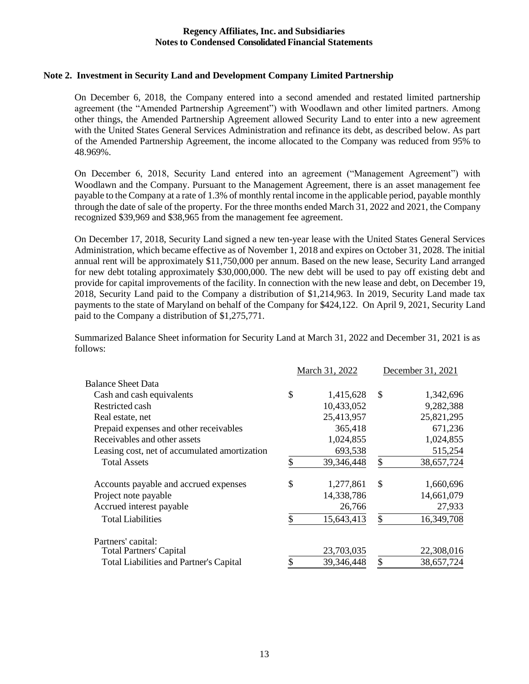### **Note 2. Investment in Security Land and Development Company Limited Partnership**

On December 6, 2018, the Company entered into a second amended and restated limited partnership agreement (the "Amended Partnership Agreement") with Woodlawn and other limited partners. Among other things, the Amended Partnership Agreement allowed Security Land to enter into a new agreement with the United States General Services Administration and refinance its debt, as described below. As part of the Amended Partnership Agreement, the income allocated to the Company was reduced from 95% to 48.969%.

On December 6, 2018, Security Land entered into an agreement ("Management Agreement") with Woodlawn and the Company. Pursuant to the Management Agreement, there is an asset management fee payable to the Company at a rate of 1.3% of monthly rental income in the applicable period, payable monthly through the date of sale of the property. For the three months ended March 31, 2022 and 2021, the Company recognized \$39,969 and \$38,965 from the management fee agreement.

On December 17, 2018, Security Land signed a new ten-year lease with the United States General Services Administration, which became effective as of November 1, 2018 and expires on October 31, 2028. The initial annual rent will be approximately \$11,750,000 per annum. Based on the new lease, Security Land arranged for new debt totaling approximately \$30,000,000. The new debt will be used to pay off existing debt and provide for capital improvements of the facility. In connection with the new lease and debt, on December 19, 2018, Security Land paid to the Company a distribution of \$1,214,963. In 2019, Security Land made tax payments to the state of Maryland on behalf of the Company for \$424,122. On April 9, 2021, Security Land paid to the Company a distribution of \$1,275,771.

Summarized Balance Sheet information for Security Land at March 31, 2022 and December 31, 2021 is as follows:

|                                                | March 31, 2022   | December 31, 2021 |            |  |
|------------------------------------------------|------------------|-------------------|------------|--|
| <b>Balance Sheet Data</b>                      |                  |                   |            |  |
| Cash and cash equivalents                      | \$<br>1,415,628  | \$                | 1,342,696  |  |
| Restricted cash                                | 10,433,052       |                   | 9,282,388  |  |
| Real estate, net                               | 25,413,957       |                   | 25,821,295 |  |
| Prepaid expenses and other receivables         | 365,418          |                   | 671,236    |  |
| Receivables and other assets                   | 1,024,855        |                   | 1,024,855  |  |
| Leasing cost, net of accumulated amortization  | 693,538          |                   | 515,254    |  |
| <b>Total Assets</b>                            | \$<br>39,346,448 | \$                | 38,657,724 |  |
| Accounts payable and accrued expenses          | \$<br>1,277,861  | \$                | 1,660,696  |  |
| Project note payable                           | 14,338,786       |                   | 14,661,079 |  |
| Accrued interest payable                       | 26,766           |                   | 27,933     |  |
| <b>Total Liabilities</b>                       | \$<br>15,643,413 | \$                | 16,349,708 |  |
| Partners' capital:                             |                  |                   |            |  |
| <b>Total Partners' Capital</b>                 | 23,703,035       |                   | 22,308,016 |  |
| <b>Total Liabilities and Partner's Capital</b> | \$<br>39,346,448 | \$                | 38,657,724 |  |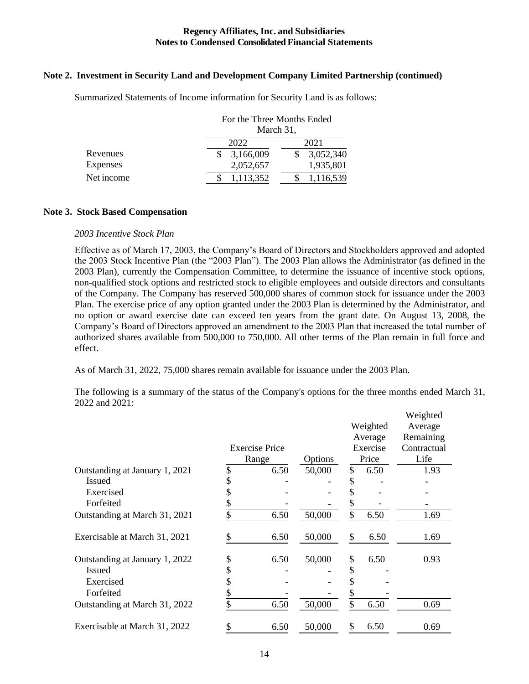### **Note 2. Investment in Security Land and Development Company Limited Partnership (continued)**

|                 | For the Three Months Ended<br>March 31, |           |  |  |  |  |  |
|-----------------|-----------------------------------------|-----------|--|--|--|--|--|
|                 | 2022                                    | 2021      |  |  |  |  |  |
| Revenues        | 3,166,009                               | 3,052,340 |  |  |  |  |  |
| <b>Expenses</b> | 2,052,657                               | 1,935,801 |  |  |  |  |  |
| Net income      | 1,113,352                               | 1,116,539 |  |  |  |  |  |

Summarized Statements of Income information for Security Land is as follows:

### **Note 3. Stock Based Compensation**

#### *2003 Incentive Stock Plan*

Effective as of March 17, 2003, the Company's Board of Directors and Stockholders approved and adopted the 2003 Stock Incentive Plan (the "2003 Plan"). The 2003 Plan allows the Administrator (as defined in the 2003 Plan), currently the Compensation Committee, to determine the issuance of incentive stock options, non-qualified stock options and restricted stock to eligible employees and outside directors and consultants of the Company. The Company has reserved 500,000 shares of common stock for issuance under the 2003 Plan. The exercise price of any option granted under the 2003 Plan is determined by the Administrator, and no option or award exercise date can exceed ten years from the grant date. On August 13, 2008, the Company's Board of Directors approved an amendment to the 2003 Plan that increased the total number of authorized shares available from 500,000 to 750,000. All other terms of the Plan remain in full force and effect.

As of March 31, 2022, 75,000 shares remain available for issuance under the 2003 Plan.

The following is a summary of the status of the Company's options for the three months ended March 31, 2022 and 2021:

|                                | <b>Exercise Price</b><br>Range | Options |               | Weighted<br>Average<br>Exercise<br>Price | Weighted<br>Average<br>Remaining<br>Contractual<br>Life |
|--------------------------------|--------------------------------|---------|---------------|------------------------------------------|---------------------------------------------------------|
| Outstanding at January 1, 2021 | \$<br>6.50                     | 50,000  | $\mathcal{S}$ | 6.50                                     | 1.93                                                    |
| <b>Issued</b>                  | \$                             |         |               |                                          |                                                         |
| Exercised                      | \$                             |         |               |                                          |                                                         |
| Forfeited                      | \$                             |         |               |                                          |                                                         |
| Outstanding at March 31, 2021  | 6.50                           | 50,000  |               | 6.50                                     | 1.69                                                    |
| Exercisable at March 31, 2021  | \$<br>6.50                     | 50,000  | \$            | 6.50                                     | 1.69                                                    |
| Outstanding at January 1, 2022 | \$<br>6.50                     | 50,000  | \$            | 6.50                                     | 0.93                                                    |
| <b>Issued</b>                  | \$                             |         | S             |                                          |                                                         |
| Exercised                      | \$                             |         |               |                                          |                                                         |
| Forfeited                      | \$                             |         |               |                                          |                                                         |
| Outstanding at March 31, 2022  | 6.50                           | 50,000  | \$            | 6.50                                     | 0.69                                                    |
| Exercisable at March 31, 2022  | 6.50                           | 50,000  | S             | 6.50                                     | 0.69                                                    |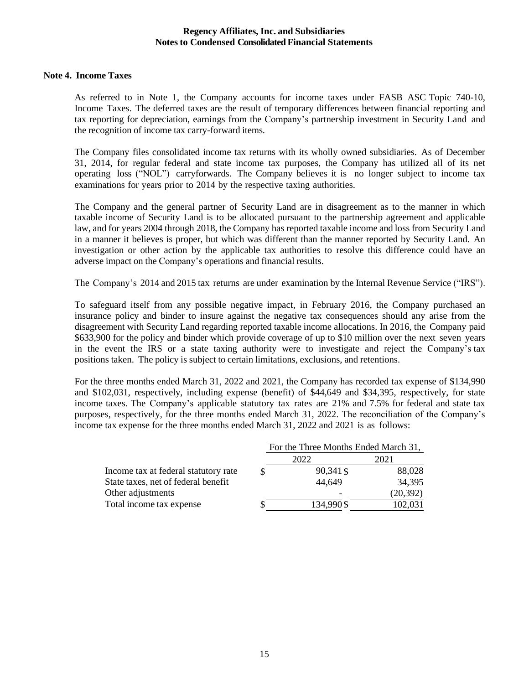### **Note 4. Income Taxes**

As referred to in Note 1, the Company accounts for income taxes under FASB ASC Topic 740-10, Income Taxes. The deferred taxes are the result of temporary differences between financial reporting and tax reporting for depreciation, earnings from the Company's partnership investment in Security Land and the recognition of income tax carry-forward items.

The Company files consolidated income tax returns with its wholly owned subsidiaries. As of December 31, 2014, for regular federal and state income tax purposes, the Company has utilized all of its net operating loss ("NOL") carryforwards. The Company believes it is no longer subject to income tax examinations for years prior to 2014 by the respective taxing authorities.

The Company and the general partner of Security Land are in disagreement as to the manner in which taxable income of Security Land is to be allocated pursuant to the partnership agreement and applicable law, and for years 2004 through 2018, the Company has reported taxable income and loss from Security Land in a manner it believes is proper, but which was different than the manner reported by Security Land. An investigation or other action by the applicable tax authorities to resolve this difference could have an adverse impact on the Company's operations and financial results.

The Company's 2014 and 2015 tax returns are under examination by the Internal Revenue Service ("IRS").

To safeguard itself from any possible negative impact, in February 2016, the Company purchased an insurance policy and binder to insure against the negative tax consequences should any arise from the disagreement with Security Land regarding reported taxable income allocations. In 2016, the Company paid \$633,900 for the policy and binder which provide coverage of up to \$10 million over the next seven years in the event the IRS or a state taxing authority were to investigate and reject the Company's tax positions taken. The policy is subject to certain limitations, exclusions, and retentions.

For the three months ended March 31, 2022 and 2021, the Company has recorded tax expense of \$134,990 and \$102,031, respectively, including expense (benefit) of \$44,649 and \$34,395, respectively, for state income taxes. The Company's applicable statutory tax rates are 21% and 7.5% for federal and state tax purposes, respectively, for the three months ended March 31, 2022. The reconciliation of the Company's income tax expense for the three months ended March 31, 2022 and 2021 is as follows:

|                                      | For the Three Months Ended March 31, |           |  |  |  |  |
|--------------------------------------|--------------------------------------|-----------|--|--|--|--|
|                                      | 2022                                 | 2021      |  |  |  |  |
| Income tax at federal statutory rate | 90,341 \$                            | 88,028    |  |  |  |  |
| State taxes, net of federal benefit  | 44,649                               | 34,395    |  |  |  |  |
| Other adjustments                    | $\overline{\phantom{a}}$             | (20, 392) |  |  |  |  |
| Total income tax expense             | 134,990\$                            | 102,031   |  |  |  |  |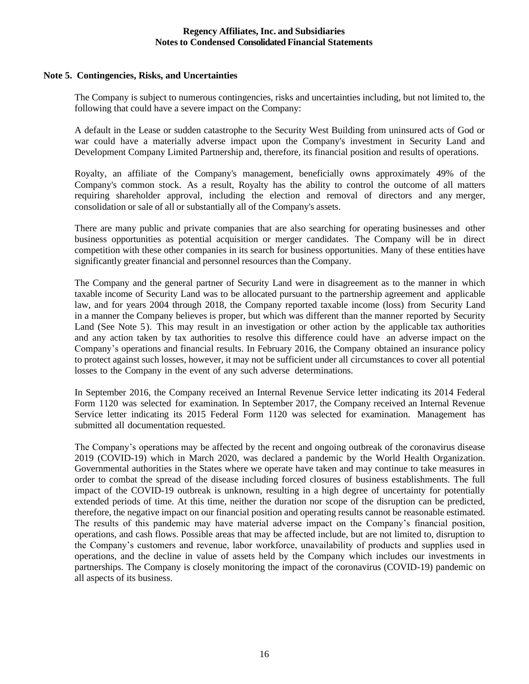### **Note 5. Contingencies, Risks, and Uncertainties**

The Company is subject to numerous contingencies, risks and uncertainties including, but not limited to, the following that could have a severe impact on the Company:

A default in the Lease or sudden catastrophe to the Security West Building from uninsured acts of God or war could have a materially adverse impact upon the Company's investment in Security Land and Development Company Limited Partnership and, therefore, its financial position and results of operations.

Royalty, an affiliate of the Company's management, beneficially owns approximately 49% of the Company's common stock. As a result, Royalty has the ability to control the outcome of all matters requiring shareholder approval, including the election and removal of directors and any merger, consolidation or sale of all or substantially all of the Company's assets.

There are many public and private companies that are also searching for operating businesses and other business opportunities as potential acquisition or merger candidates. The Company will be in direct competition with these other companies in its search for business opportunities. Many of these entities have significantly greater financial and personnel resources than the Company.

The Company and the general partner of Security Land were in disagreement as to the manner in which taxable income of Security Land was to be allocated pursuant to the partnership agreement and applicable law, and for years 2004 through 2018, the Company reported taxable income (loss) from Security Land in a manner the Company believes is proper, but which was different than the manner reported by Security Land (See Note 5). This may result in an investigation or other action by the applicable tax authorities and any action taken by tax authorities to resolve this difference could have an adverse impact on the Company's operations and financial results. In February 2016, the Company obtained an insurance policy to protect against such losses, however, it may not be sufficient under all circumstances to cover all potential losses to the Company in the event of any such adverse determinations.

In September 2016, the Company received an Internal Revenue Service letter indicating its 2014 Federal Form 1120 was selected for examination. In September 2017, the Company received an Internal Revenue Service letter indicating its 2015 Federal Form 1120 was selected for examination. Management has submitted all documentation requested.

The Company's operations may be affected by the recent and ongoing outbreak of the coronavirus disease 2019 (COVID-19) which in March 2020, was declared a pandemic by the World Health Organization. Governmental authorities in the States where we operate have taken and may continue to take measures in order to combat the spread of the disease including forced closures of business establishments. The full impact of the COVID-19 outbreak is unknown, resulting in a high degree of uncertainty for potentially extended periods of time. At this time, neither the duration nor scope of the disruption can be predicted, therefore, the negative impact on our financial position and operating results cannot be reasonable estimated. The results of this pandemic may have material adverse impact on the Company's financial position, operations, and cash flows. Possible areas that may be affected include, but are not limited to, disruption to the Company's customers and revenue, labor workforce, unavailability of products and supplies used in operations, and the decline in value of assets held by the Company which includes our investments in partnerships. The Company is closely monitoring the impact of the coronavirus (COVID-19) pandemic on all aspects of its business.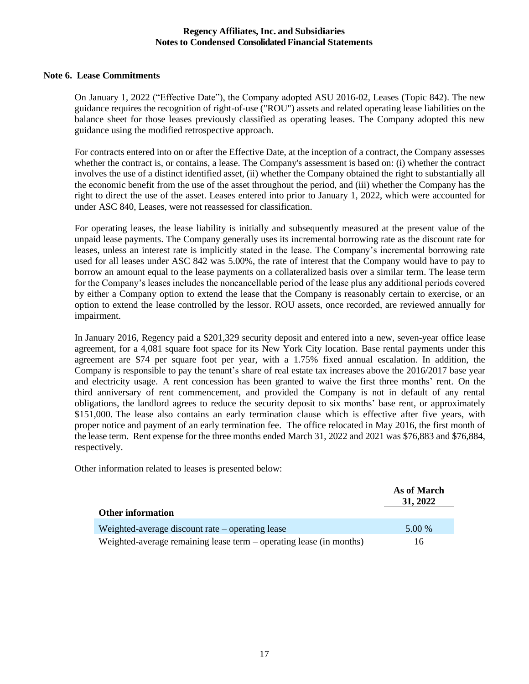### **Note 6. Lease Commitments**

On January 1, 2022 ("Effective Date"), the Company adopted ASU 2016-02, Leases (Topic 842). The new guidance requires the recognition of right-of-use ("ROU") assets and related operating lease liabilities on the balance sheet for those leases previously classified as operating leases. The Company adopted this new guidance using the modified retrospective approach.

For contracts entered into on or after the Effective Date, at the inception of a contract, the Company assesses whether the contract is, or contains, a lease. The Company's assessment is based on: (i) whether the contract involves the use of a distinct identified asset, (ii) whether the Company obtained the right to substantially all the economic benefit from the use of the asset throughout the period, and (iii) whether the Company has the right to direct the use of the asset. Leases entered into prior to January 1, 2022, which were accounted for under ASC 840, Leases, were not reassessed for classification.

For operating leases, the lease liability is initially and subsequently measured at the present value of the unpaid lease payments. The Company generally uses its incremental borrowing rate as the discount rate for leases, unless an interest rate is implicitly stated in the lease. The Company's incremental borrowing rate used for all leases under ASC 842 was 5.00%, the rate of interest that the Company would have to pay to borrow an amount equal to the lease payments on a collateralized basis over a similar term. The lease term for the Company's leases includes the noncancellable period of the lease plus any additional periods covered by either a Company option to extend the lease that the Company is reasonably certain to exercise, or an option to extend the lease controlled by the lessor. ROU assets, once recorded, are reviewed annually for impairment.

In January 2016, Regency paid a \$201,329 security deposit and entered into a new, seven-year office lease agreement, for a 4,081 square foot space for its New York City location. Base rental payments under this agreement are \$74 per square foot per year, with a 1.75% fixed annual escalation. In addition, the Company is responsible to pay the tenant's share of real estate tax increases above the 2016/2017 base year and electricity usage. A rent concession has been granted to waive the first three months' rent. On the third anniversary of rent commencement, and provided the Company is not in default of any rental obligations, the landlord agrees to reduce the security deposit to six months' base rent, or approximately \$151,000. The lease also contains an early termination clause which is effective after five years, with proper notice and payment of an early termination fee. The office relocated in May 2016, the first month of the lease term. Rent expense for the three months ended March 31, 2022 and 2021 was \$76,883 and \$76,884, respectively.

Other information related to leases is presented below:

|                                                                     | As of March<br>31, 2022 |
|---------------------------------------------------------------------|-------------------------|
| <b>Other information</b>                                            |                         |
| Weighted-average discount rate $-$ operating lease                  | 5.00 %                  |
| Weighted-average remaining lease term – operating lease (in months) | 16                      |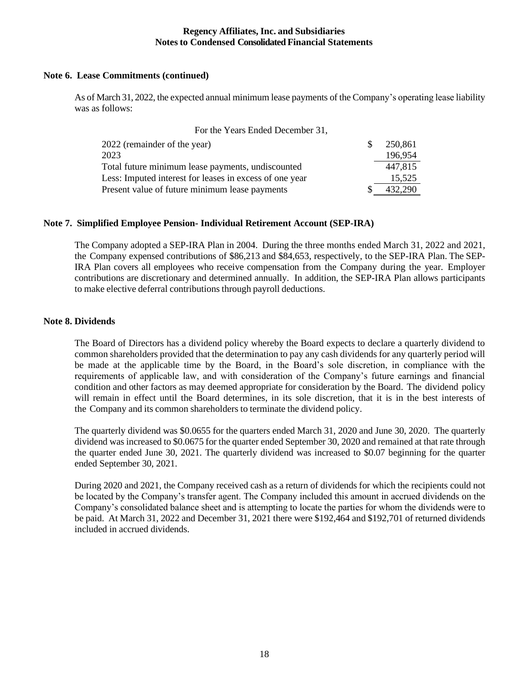# **Note 6. Lease Commitments (continued)**

As of March 31, 2022, the expected annual minimum lease payments of the Company's operating lease liability was as follows:

| For the Years Ended December 31,                        |         |
|---------------------------------------------------------|---------|
| 2022 (remainder of the year)                            | 250,861 |
| 2023                                                    | 196,954 |
| Total future minimum lease payments, undiscounted       | 447,815 |
| Less: Imputed interest for leases in excess of one year | 15,525  |
| Present value of future minimum lease payments          | 432,290 |

# **Note 7. Simplified Employee Pension- Individual Retirement Account (SEP-IRA)**

The Company adopted a SEP-IRA Plan in 2004. During the three months ended March 31, 2022 and 2021, the Company expensed contributions of \$86,213 and \$84,653, respectively, to the SEP-IRA Plan. The SEP-IRA Plan covers all employees who receive compensation from the Company during the year. Employer contributions are discretionary and determined annually. In addition, the SEP-IRA Plan allows participants to make elective deferral contributions through payroll deductions.

### **Note 8. Dividends**

The Board of Directors has a dividend policy whereby the Board expects to declare a quarterly dividend to common shareholders provided that the determination to pay any cash dividends for any quarterly period will be made at the applicable time by the Board, in the Board's sole discretion, in compliance with the requirements of applicable law, and with consideration of the Company's future earnings and financial condition and other factors as may deemed appropriate for consideration by the Board. The dividend policy will remain in effect until the Board determines, in its sole discretion, that it is in the best interests of the Company and its common shareholders to terminate the dividend policy.

The quarterly dividend was \$0.0655 for the quarters ended March 31, 2020 and June 30, 2020. The quarterly dividend was increased to \$0.0675 for the quarter ended September 30, 2020 and remained at that rate through the quarter ended June 30, 2021. The quarterly dividend was increased to \$0.07 beginning for the quarter ended September 30, 2021.

During 2020 and 2021, the Company received cash as a return of dividends for which the recipients could not be located by the Company's transfer agent. The Company included this amount in accrued dividends on the Company's consolidated balance sheet and is attempting to locate the parties for whom the dividends were to be paid. At March 31, 2022 and December 31, 2021 there were \$192,464 and \$192,701 of returned dividends included in accrued dividends.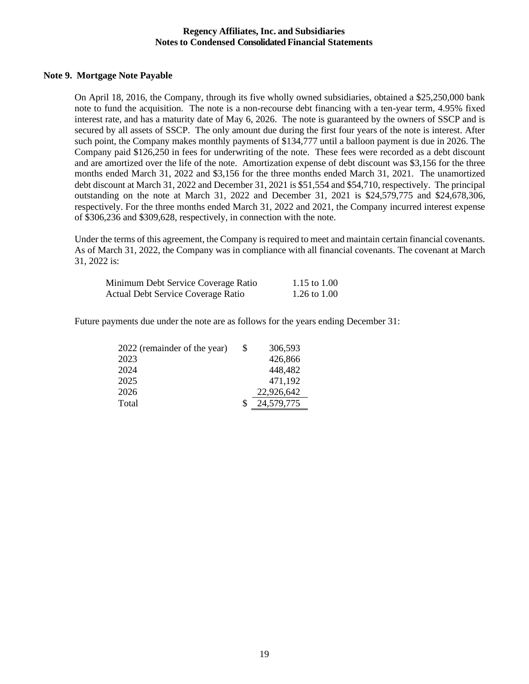### **Note 9. Mortgage Note Payable**

On April 18, 2016, the Company, through its five wholly owned subsidiaries, obtained a \$25,250,000 bank note to fund the acquisition. The note is a non-recourse debt financing with a ten-year term, 4.95% fixed interest rate, and has a maturity date of May 6, 2026. The note is guaranteed by the owners of SSCP and is secured by all assets of SSCP. The only amount due during the first four years of the note is interest. After such point, the Company makes monthly payments of \$134,777 until a balloon payment is due in 2026. The Company paid \$126,250 in fees for underwriting of the note. These fees were recorded as a debt discount and are amortized over the life of the note. Amortization expense of debt discount was \$3,156 for the three months ended March 31, 2022 and \$3,156 for the three months ended March 31, 2021. The unamortized debt discount at March 31, 2022 and December 31, 2021 is \$51,554 and \$54,710, respectively. The principal outstanding on the note at March 31, 2022 and December 31, 2021 is \$24,579,775 and \$24,678,306, respectively. For the three months ended March 31, 2022 and 2021, the Company incurred interest expense of \$306,236 and \$309,628, respectively, in connection with the note.

Under the terms of this agreement, the Company is required to meet and maintain certain financial covenants. As of March 31, 2022, the Company was in compliance with all financial covenants. The covenant at March 31, 2022 is:

| Minimum Debt Service Coverage Ratio       | 1.15 to 1.00 |
|-------------------------------------------|--------------|
| <b>Actual Debt Service Coverage Ratio</b> | 1.26 to 1.00 |

Future payments due under the note are as follows for the years ending December 31:

| 2022 (remainder of the year) | \$<br>306,593 |
|------------------------------|---------------|
| 2023                         | 426,866       |
| 2024                         | 448,482       |
| 2025                         | 471,192       |
| 2026                         | 22,926,642    |
| Total                        | 24,579,775    |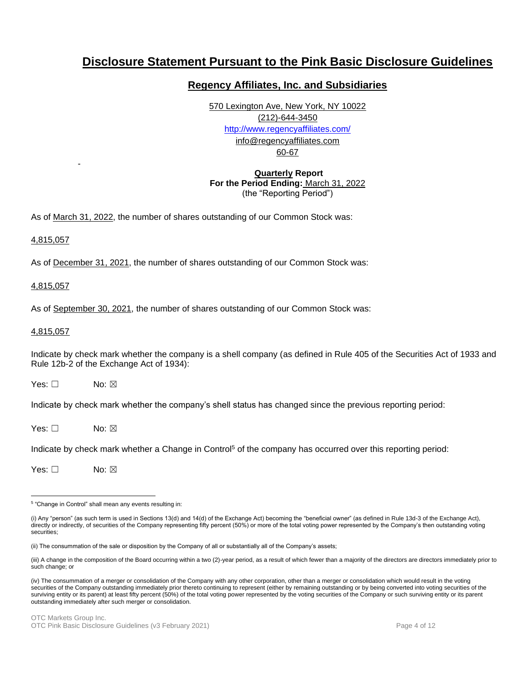# **Disclosure Statement Pursuant to the Pink Basic Disclosure Guidelines**

# **Regency Affiliates, Inc. and Subsidiaries**

570 Lexington Ave, New York, NY 10022 (212)-644-3450 <http://www.regencyaffiliates.com/> info@regencyaffiliates.com 60-67

### **Quarterly Report For the Period Ending:** March 31, 2022 (the "Reporting Period")

As of March 31, 2022, the number of shares outstanding of our Common Stock was:

### 4,815,057

-

As of December 31, 2021, the number of shares outstanding of our Common Stock was:

### 4,815,057

As of September 30, 2021, the number of shares outstanding of our Common Stock was:

#### 4,815,057

Indicate by check mark whether the company is a shell company (as defined in Rule 405 of the Securities Act of 1933 and Rule 12b-2 of the Exchange Act of 1934):

 $Yes: \Box$  No:  $\boxtimes$ 

Indicate by check mark whether the company's shell status has changed since the previous reporting period:

 $Yes: \Box$  No:  $\boxtimes$ 

Indicate by check mark whether a Change in Control<sup>5</sup> of the company has occurred over this reporting period:

Yes: □ No: ⊠

<sup>5</sup> "Change in Control" shall mean any events resulting in:

<sup>(</sup>i) Any "person" (as such term is used in Sections 13(d) and 14(d) of the Exchange Act) becoming the "beneficial owner" (as defined in Rule 13d-3 of the Exchange Act), directly or indirectly, of securities of the Company representing fifty percent (50%) or more of the total voting power represented by the Company's then outstanding voting securities;

<sup>(</sup>ii) The consummation of the sale or disposition by the Company of all or substantially all of the Company's assets;

<sup>(</sup>iii) A change in the composition of the Board occurring within a two (2)-year period, as a result of which fewer than a majority of the directors are directors immediately prior to such change; or

<sup>(</sup>iv) The consummation of a merger or consolidation of the Company with any other corporation, other than a merger or consolidation which would result in the voting securities of the Company outstanding immediately prior thereto continuing to represent (either by remaining outstanding or by being converted into voting securities of the surviving entity or its parent) at least fifty percent (50%) of the total voting power represented by the voting securities of the Company or such surviving entity or its parent outstanding immediately after such merger or consolidation.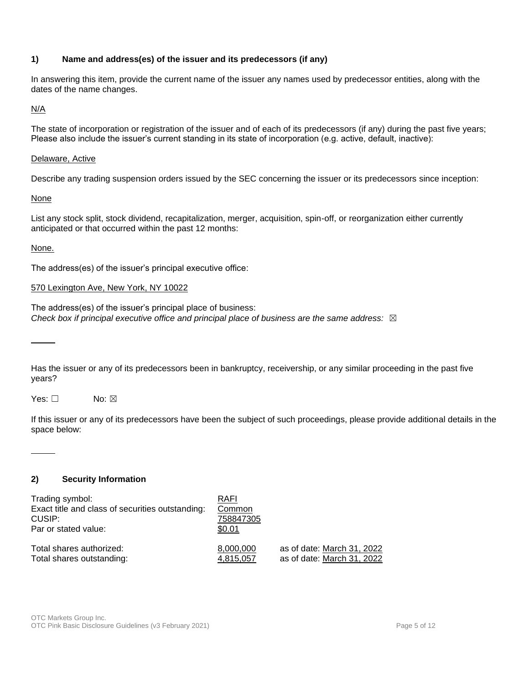# **1) Name and address(es) of the issuer and its predecessors (if any)**

In answering this item, provide the current name of the issuer any names used by predecessor entities, along with the dates of the name changes.

N/A

The state of incorporation or registration of the issuer and of each of its predecessors (if any) during the past five years; Please also include the issuer's current standing in its state of incorporation (e.g. active, default, inactive):

### Delaware, Active

Describe any trading suspension orders issued by the SEC concerning the issuer or its predecessors since inception:

None

List any stock split, stock dividend, recapitalization, merger, acquisition, spin-off, or reorganization either currently anticipated or that occurred within the past 12 months:

### None.

The address(es) of the issuer's principal executive office:

### 570 Lexington Ave, New York, NY 10022

The address(es) of the issuer's principal place of business: *Check box if principal executive office and principal place of business are the same address:* ☒

Has the issuer or any of its predecessors been in bankruptcy, receivership, or any similar proceeding in the past five years?

Yes: □ No: ⊠

If this issuer or any of its predecessors have been the subject of such proceedings, please provide additional details in the space below:

### **2) Security Information**

| Trading symbol:                                  | RAFI      |                            |
|--------------------------------------------------|-----------|----------------------------|
| Exact title and class of securities outstanding: | Common    |                            |
| CUSIP:                                           | 758847305 |                            |
| Par or stated value:                             | \$0.01    |                            |
|                                                  |           |                            |
| Total shares authorized:                         | 8,000,000 | as of date: March 31, 2022 |
| Total shares outstanding:                        | 4,815,057 | as of date: March 31, 2022 |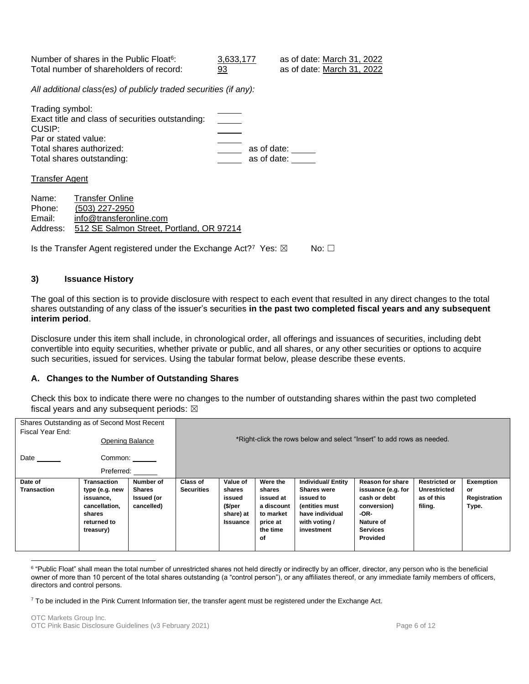Number of shares in the Public Float<sup>6</sup>: : 3,633,177 as of date: March 31, 2022 Total number of shareholders of record: 93 as of date: March 31, 2022

*All additional class(es) of publicly traded securities (if any):*

| Trading symbol:                                  |             |
|--------------------------------------------------|-------------|
| Exact title and class of securities outstanding: |             |
| CUSIP:                                           |             |
| Par or stated value:                             |             |
| Total shares authorized:                         | as of date: |
| Total shares outstanding:                        | as of date: |
|                                                  |             |

Transfer Agent

Name: Transfer Online Phone: (503) 227-2950 Email: info@transferonline.com Address: 512 SE Salmon Street, Portland, OR 97214

Is the Transfer Agent registered under the Exchange Act?<sup>7</sup> Yes:  $\boxtimes$  No:  $\Box$ 

### **3) Issuance History**

The goal of this section is to provide disclosure with respect to each event that resulted in any direct changes to the total shares outstanding of any class of the issuer's securities **in the past two completed fiscal years and any subsequent interim period**.

Disclosure under this item shall include, in chronological order, all offerings and issuances of securities, including debt convertible into equity securities, whether private or public, and all shares, or any other securities or options to acquire such securities, issued for services. Using the tabular format below, please describe these events.

### **A. Changes to the Number of Outstanding Shares**

Check this box to indicate there were no changes to the number of outstanding shares within the past two completed fiscal years and any subsequent periods:  $\boxtimes$ 

| Shares Outstanding as of Second Most Recent<br>Fiscal Year End: |                        |            |                                                                        |                 |            |                          |                    |                      |              |
|-----------------------------------------------------------------|------------------------|------------|------------------------------------------------------------------------|-----------------|------------|--------------------------|--------------------|----------------------|--------------|
|                                                                 | <b>Opening Balance</b> |            | *Right-click the rows below and select "Insert" to add rows as needed. |                 |            |                          |                    |                      |              |
| Date                                                            | Common:                |            |                                                                        |                 |            |                          |                    |                      |              |
|                                                                 |                        |            |                                                                        |                 |            |                          |                    |                      |              |
| Date of                                                         | Transaction            | Number of  | <b>Class of</b>                                                        | Value of        | Were the   | <b>Individual/Entity</b> | Reason for share   | <b>Restricted or</b> | Exemption    |
| <b>Transaction</b>                                              | type (e.g. new         | Shares     | <b>Securities</b>                                                      | shares          | shares     | <b>Shares were</b>       | issuance (e.g. for | Unrestricted         | or           |
|                                                                 | issuance,              | Issued (or |                                                                        | issued          | issued at  | issued to                | cash or debt       | as of this           | Registration |
|                                                                 | cancellation.          | cancelled) |                                                                        | (\$/per         | a discount | (entities must           | conversion)        | filing.              | Type.        |
|                                                                 | shares                 |            |                                                                        | share) at       | to market  | have individual          | -OR-               |                      |              |
|                                                                 | returned to            |            |                                                                        | <b>Issuance</b> | price at   | with voting /            | Nature of          |                      |              |
|                                                                 | treasury)              |            |                                                                        |                 | the time   | investment               | <b>Services</b>    |                      |              |
|                                                                 |                        |            |                                                                        |                 | οf         |                          | Provided           |                      |              |
|                                                                 |                        |            |                                                                        |                 |            |                          |                    |                      |              |

 $^6$  "Public Float" shall mean the total number of unrestricted shares not held directly or indirectly by an officer, director, any person who is the beneficial owner of more than 10 percent of the total shares outstanding (a "control person"), or any affiliates thereof, or any immediate family members of officers, directors and control persons.

 $7$  To be included in the Pink Current Information tier, the transfer agent must be registered under the Exchange Act.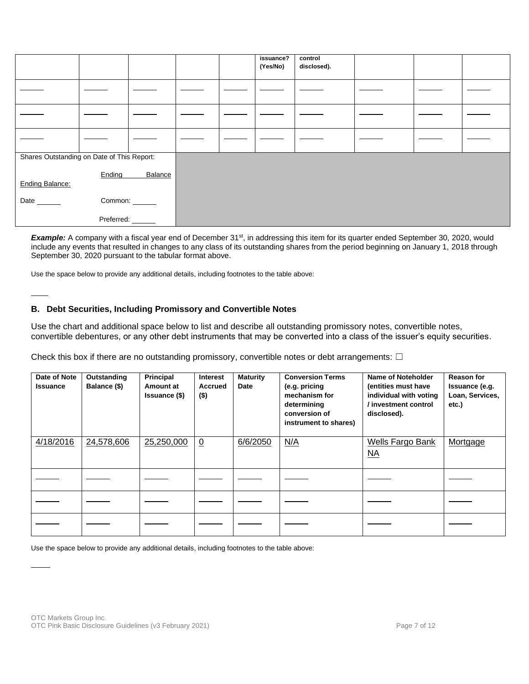|                                            |            |         |  | issuance?<br>(Yes/No) | control<br>disclosed). |  |  |
|--------------------------------------------|------------|---------|--|-----------------------|------------------------|--|--|
|                                            |            |         |  |                       |                        |  |  |
|                                            |            |         |  |                       |                        |  |  |
|                                            |            |         |  |                       |                        |  |  |
| Shares Outstanding on Date of This Report: |            |         |  |                       |                        |  |  |
| <b>Ending Balance:</b>                     | Ending     | Balance |  |                       |                        |  |  |
| Date ______                                | Common:    |         |  |                       |                        |  |  |
|                                            | Preferred: |         |  |                       |                        |  |  |

Example: A company with a fiscal year end of December 31<sup>st</sup>, in addressing this item for its quarter ended September 30, 2020, would include any events that resulted in changes to any class of its outstanding shares from the period beginning on January 1, 2018 through September 30, 2020 pursuant to the tabular format above.

Use the space below to provide any additional details, including footnotes to the table above:

### **B. Debt Securities, Including Promissory and Convertible Notes**

Use the chart and additional space below to list and describe all outstanding promissory notes, convertible notes, convertible debentures, or any other debt instruments that may be converted into a class of the issuer's equity securities.

Check this box if there are no outstanding promissory, convertible notes or debt arrangements:  $\Box$ 

| Date of Note<br><b>Issuance</b> | Outstanding<br>Balance (\$) | Principal<br>Amount at<br><b>Issuance (\$)</b> | <b>Interest</b><br>Accrued<br>$($ \$) | <b>Maturity</b><br>Date | <b>Conversion Terms</b><br>(e.g. pricing<br>mechanism for<br>determining<br>conversion of<br>instrument to shares) | Name of Noteholder<br>(entities must have<br>individual with voting<br>/ investment control<br>disclosed). | <b>Reason for</b><br>Issuance (e.g.<br>Loan, Services,<br>etc.) |
|---------------------------------|-----------------------------|------------------------------------------------|---------------------------------------|-------------------------|--------------------------------------------------------------------------------------------------------------------|------------------------------------------------------------------------------------------------------------|-----------------------------------------------------------------|
| 4/18/2016                       | 24,578,606                  | 25,250,000                                     | $\overline{0}$                        | 6/6/2050                | N/A                                                                                                                | <b>Wells Fargo Bank</b><br>$\underline{NA}$                                                                | Mortgage                                                        |
|                                 |                             |                                                |                                       |                         |                                                                                                                    |                                                                                                            |                                                                 |
|                                 |                             |                                                |                                       |                         |                                                                                                                    |                                                                                                            |                                                                 |
|                                 |                             |                                                |                                       |                         |                                                                                                                    |                                                                                                            |                                                                 |

Use the space below to provide any additional details, including footnotes to the table above: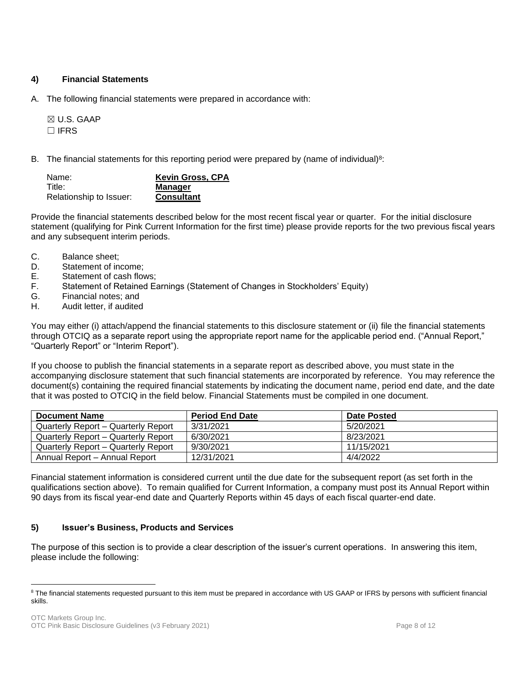# **4) Financial Statements**

A. The following financial statements were prepared in accordance with:

☒ U.S. GAAP ☐ IFRS

B. The financial statements for this reporting period were prepared by (name of individual) $8$ :

| Name:                   | <b>Kevin Gross, CPA</b> |
|-------------------------|-------------------------|
| Title:                  | <b>Manager</b>          |
| Relationship to Issuer: | <b>Consultant</b>       |

Provide the financial statements described below for the most recent fiscal year or quarter. For the initial disclosure statement (qualifying for Pink Current Information for the first time) please provide reports for the two previous fiscal years and any subsequent interim periods.

- C. Balance sheet;
- D. Statement of income;
- E. Statement of cash flows;
- F. Statement of Retained Earnings (Statement of Changes in Stockholders' Equity)
- G. Financial notes; and
- H. Audit letter, if audited

You may either (i) attach/append the financial statements to this disclosure statement or (ii) file the financial statements through OTCIQ as a separate report using the appropriate report name for the applicable period end. ("Annual Report," "Quarterly Report" or "Interim Report").

If you choose to publish the financial statements in a separate report as described above, you must state in the accompanying disclosure statement that such financial statements are incorporated by reference. You may reference the document(s) containing the required financial statements by indicating the document name, period end date, and the date that it was posted to OTCIQ in the field below. Financial Statements must be compiled in one document.

| <b>Document Name</b>                | <b>Period End Date</b> | Date Posted |
|-------------------------------------|------------------------|-------------|
| Quarterly Report – Quarterly Report | 3/31/2021              | 5/20/2021   |
| Quarterly Report – Quarterly Report | 6/30/2021              | 8/23/2021   |
| Quarterly Report – Quarterly Report | 9/30/2021              | 11/15/2021  |
| Annual Report - Annual Report       | 12/31/2021             | 4/4/2022    |

Financial statement information is considered current until the due date for the subsequent report (as set forth in the qualifications section above). To remain qualified for Current Information, a company must post its Annual Report within 90 days from its fiscal year-end date and Quarterly Reports within 45 days of each fiscal quarter-end date.

# **5) Issuer's Business, Products and Services**

The purpose of this section is to provide a clear description of the issuer's current operations. In answering this item, please include the following:

<sup>&</sup>lt;sup>8</sup> The financial statements requested pursuant to this item must be prepared in accordance with US GAAP or IFRS by persons with sufficient financial skills.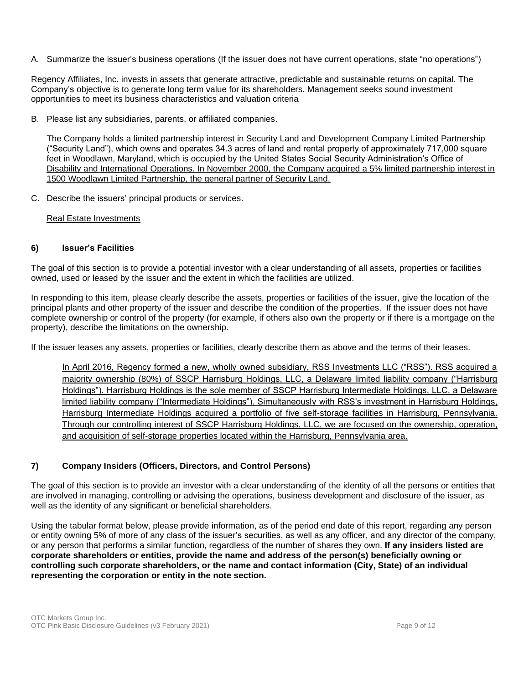A. Summarize the issuer's business operations (If the issuer does not have current operations, state "no operations")

Regency Affiliates, Inc. invests in assets that generate attractive, predictable and sustainable returns on capital. The Company's objective is to generate long term value for its shareholders. Management seeks sound investment opportunities to meet its business characteristics and valuation criteria

B. Please list any subsidiaries, parents, or affiliated companies.

The Company holds a limited partnership interest in Security Land and Development Company Limited Partnership ("Security Land"), which owns and operates 34.3 acres of land and rental property of approximately 717,000 square feet in Woodlawn, Maryland, which is occupied by the United States Social Security Administration's Office of Disability and International Operations. In November 2000, the Company acquired a 5% limited partnership interest in 1500 Woodlawn Limited Partnership, the general partner of Security Land.

C. Describe the issuers' principal products or services.

Real Estate Investments

### **6) Issuer's Facilities**

The goal of this section is to provide a potential investor with a clear understanding of all assets, properties or facilities owned, used or leased by the issuer and the extent in which the facilities are utilized.

In responding to this item, please clearly describe the assets, properties or facilities of the issuer, give the location of the principal plants and other property of the issuer and describe the condition of the properties. If the issuer does not have complete ownership or control of the property (for example, if others also own the property or if there is a mortgage on the property), describe the limitations on the ownership.

If the issuer leases any assets, properties or facilities, clearly describe them as above and the terms of their leases.

In April 2016, Regency formed a new, wholly owned subsidiary, RSS Investments LLC ("RSS"). RSS acquired a majority ownership (80%) of SSCP Harrisburg Holdings, LLC, a Delaware limited liability company ("Harrisburg Holdings"). Harrisburg Holdings is the sole member of SSCP Harrisburg Intermediate Holdings, LLC, a Delaware limited liability company ("Intermediate Holdings"). Simultaneously with RSS's investment in Harrisburg Holdings, Harrisburg Intermediate Holdings acquired a portfolio of five self-storage facilities in Harrisburg, Pennsylvania. Through our controlling interest of SSCP Harrisburg Holdings, LLC, we are focused on the ownership, operation, and acquisition of self-storage properties located within the Harrisburg, Pennsylvania area.

# **7) Company Insiders (Officers, Directors, and Control Persons)**

The goal of this section is to provide an investor with a clear understanding of the identity of all the persons or entities that are involved in managing, controlling or advising the operations, business development and disclosure of the issuer, as well as the identity of any significant or beneficial shareholders.

Using the tabular format below, please provide information, as of the period end date of this report, regarding any person or entity owning 5% of more of any class of the issuer's securities, as well as any officer, and any director of the company, or any person that performs a similar function, regardless of the number of shares they own. **If any insiders listed are corporate shareholders or entities, provide the name and address of the person(s) beneficially owning or controlling such corporate shareholders, or the name and contact information (City, State) of an individual representing the corporation or entity in the note section.**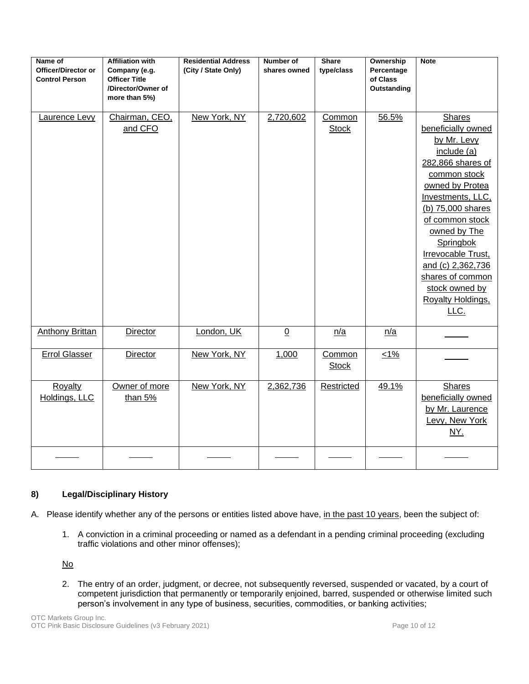| Name of<br><b>Officer/Director or</b><br><b>Control Person</b> | <b>Affiliation with</b><br>Company (e.g.<br><b>Officer Title</b><br>/Director/Owner of<br>more than 5%) | <b>Residential Address</b><br>(City / State Only) | Number of<br>shares owned | <b>Share</b><br>type/class | Ownership<br>Percentage<br>of Class<br>Outstanding | <b>Note</b>                                                                                                                                                                                                                                                                                                                       |
|----------------------------------------------------------------|---------------------------------------------------------------------------------------------------------|---------------------------------------------------|---------------------------|----------------------------|----------------------------------------------------|-----------------------------------------------------------------------------------------------------------------------------------------------------------------------------------------------------------------------------------------------------------------------------------------------------------------------------------|
| Laurence Levy                                                  | Chairman, CEO,<br>and CFO                                                                               | New York, NY                                      | 2,720,602                 | Common<br><b>Stock</b>     | 56.5%                                              | <b>Shares</b><br>beneficially owned<br>by Mr. Levy<br>include (a)<br>282,866 shares of<br>common stock<br>owned by Protea<br>Investments, LLC,<br>(b) 75,000 shares<br>of common stock<br>owned by The<br>Springbok<br>Irrevocable Trust,<br>and (c) 2,362,736<br>shares of common<br>stock owned by<br>Royalty Holdings,<br>LLC. |
| Anthony Brittan                                                | Director                                                                                                | London, UK                                        | $\overline{0}$            | n/a                        | n/a                                                |                                                                                                                                                                                                                                                                                                                                   |
| <b>Errol Glasser</b>                                           | Director                                                                                                | New York, NY                                      | 1,000                     | Common<br><b>Stock</b>     | $1\%$                                              |                                                                                                                                                                                                                                                                                                                                   |
| <b>Royalty</b><br>Holdings, LLC                                | Owner of more<br>than $5%$                                                                              | New York, NY                                      | 2,362,736                 | Restricted                 | 49.1%                                              | <b>Shares</b><br>beneficially owned<br>by Mr. Laurence<br>Levy, New York<br><u>NY.</u>                                                                                                                                                                                                                                            |
|                                                                |                                                                                                         |                                                   |                           |                            |                                                    |                                                                                                                                                                                                                                                                                                                                   |

# **8) Legal/Disciplinary History**

- A. Please identify whether any of the persons or entities listed above have, in the past 10 years, been the subject of:
	- 1. A conviction in a criminal proceeding or named as a defendant in a pending criminal proceeding (excluding traffic violations and other minor offenses);

No

2. The entry of an order, judgment, or decree, not subsequently reversed, suspended or vacated, by a court of competent jurisdiction that permanently or temporarily enjoined, barred, suspended or otherwise limited such person's involvement in any type of business, securities, commodities, or banking activities;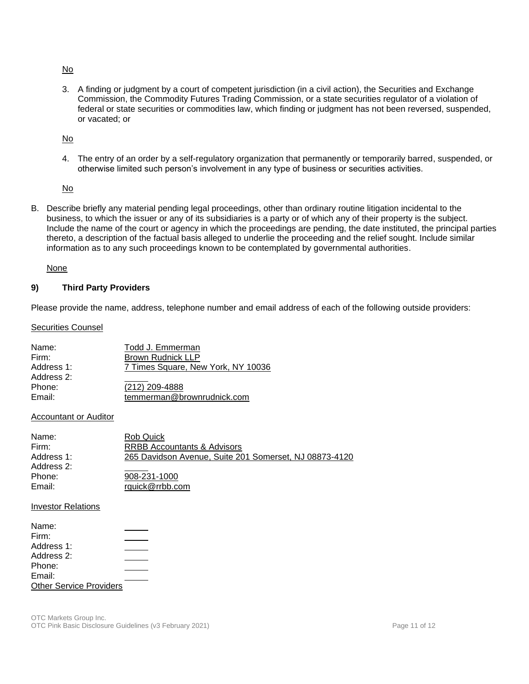No

3. A finding or judgment by a court of competent jurisdiction (in a civil action), the Securities and Exchange Commission, the Commodity Futures Trading Commission, or a state securities regulator of a violation of federal or state securities or commodities law, which finding or judgment has not been reversed, suspended, or vacated; or

No

4. The entry of an order by a self-regulatory organization that permanently or temporarily barred, suspended, or otherwise limited such person's involvement in any type of business or securities activities.

No

B. Describe briefly any material pending legal proceedings, other than ordinary routine litigation incidental to the business, to which the issuer or any of its subsidiaries is a party or of which any of their property is the subject. Include the name of the court or agency in which the proceedings are pending, the date instituted, the principal parties thereto, a description of the factual basis alleged to underlie the proceeding and the relief sought. Include similar information as to any such proceedings known to be contemplated by governmental authorities.

None

### **9) Third Party Providers**

Please provide the name, address, telephone number and email address of each of the following outside providers:

**Securities Counsel** 

| Name:      | Todd J. Emmerman                   |
|------------|------------------------------------|
| Firm:      | <b>Brown Rudnick LLP</b>           |
| Address 1: | 7 Times Square, New York, NY 10036 |
| Address 2: |                                    |
| Phone:     | (212) 209-4888                     |
| Email:     | temmerman@brownrudnick.com         |

#### Accountant or Auditor

| Name:      | Rob Quick                                              |
|------------|--------------------------------------------------------|
|            |                                                        |
| Firm:      | <b>RRBB Accountants &amp; Advisors</b>                 |
| Address 1: | 265 Davidson Avenue, Suite 201 Somerset, NJ 08873-4120 |
| Address 2: |                                                        |
| Phone:     | 908-231-1000                                           |
| Email:     | rquick@rrbb.com                                        |
|            |                                                        |

#### Investor Relations

| Name:                          |  |
|--------------------------------|--|
| Firm:                          |  |
| Address 1:                     |  |
| Address 2:                     |  |
| Phone:                         |  |
| Email:                         |  |
| <b>Other Service Providers</b> |  |
|                                |  |